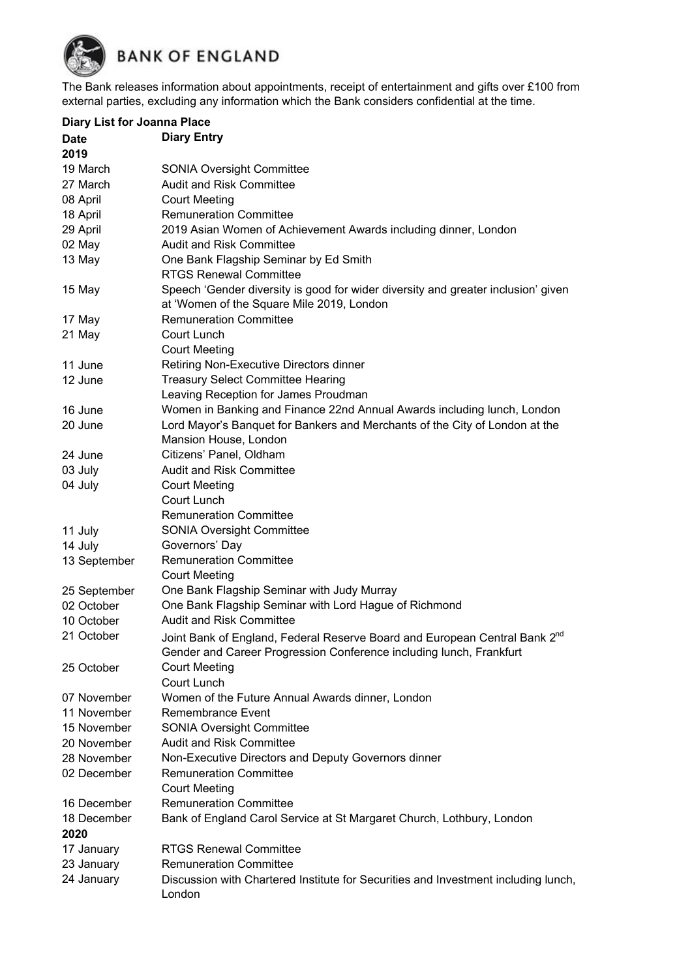

The Bank releases information about appointments, receipt of entertainment and gifts over £100 from external parties, excluding any information which the Bank considers confidential at the time.

| <b>Diary List for Joanna Place</b> |                                                                                                                                                               |  |  |
|------------------------------------|---------------------------------------------------------------------------------------------------------------------------------------------------------------|--|--|
| <b>Date</b>                        | <b>Diary Entry</b>                                                                                                                                            |  |  |
| 2019                               |                                                                                                                                                               |  |  |
| 19 March                           | <b>SONIA Oversight Committee</b>                                                                                                                              |  |  |
| 27 March                           | <b>Audit and Risk Committee</b>                                                                                                                               |  |  |
| 08 April                           | <b>Court Meeting</b>                                                                                                                                          |  |  |
| 18 April                           | <b>Remuneration Committee</b>                                                                                                                                 |  |  |
| 29 April                           | 2019 Asian Women of Achievement Awards including dinner, London                                                                                               |  |  |
| 02 May                             | <b>Audit and Risk Committee</b>                                                                                                                               |  |  |
| 13 May                             | One Bank Flagship Seminar by Ed Smith                                                                                                                         |  |  |
|                                    | <b>RTGS Renewal Committee</b>                                                                                                                                 |  |  |
| 15 May                             | Speech 'Gender diversity is good for wider diversity and greater inclusion' given<br>at 'Women of the Square Mile 2019, London                                |  |  |
| 17 May                             | <b>Remuneration Committee</b>                                                                                                                                 |  |  |
| 21 May                             | Court Lunch                                                                                                                                                   |  |  |
|                                    | <b>Court Meeting</b>                                                                                                                                          |  |  |
| 11 June                            | Retiring Non-Executive Directors dinner                                                                                                                       |  |  |
| 12 June                            | <b>Treasury Select Committee Hearing</b>                                                                                                                      |  |  |
|                                    | Leaving Reception for James Proudman                                                                                                                          |  |  |
| 16 June                            | Women in Banking and Finance 22nd Annual Awards including lunch, London                                                                                       |  |  |
| 20 June                            | Lord Mayor's Banquet for Bankers and Merchants of the City of London at the                                                                                   |  |  |
|                                    | Mansion House, London                                                                                                                                         |  |  |
| 24 June                            | Citizens' Panel, Oldham                                                                                                                                       |  |  |
| 03 July                            | <b>Audit and Risk Committee</b>                                                                                                                               |  |  |
| 04 July                            | <b>Court Meeting</b>                                                                                                                                          |  |  |
|                                    | Court Lunch                                                                                                                                                   |  |  |
|                                    | <b>Remuneration Committee</b>                                                                                                                                 |  |  |
| 11 July                            | <b>SONIA Oversight Committee</b>                                                                                                                              |  |  |
| 14 July                            | Governors' Day                                                                                                                                                |  |  |
| 13 September                       | <b>Remuneration Committee</b>                                                                                                                                 |  |  |
|                                    | <b>Court Meeting</b>                                                                                                                                          |  |  |
| 25 September                       | One Bank Flagship Seminar with Judy Murray                                                                                                                    |  |  |
| 02 October                         | One Bank Flagship Seminar with Lord Hague of Richmond                                                                                                         |  |  |
| 10 October                         | <b>Audit and Risk Committee</b>                                                                                                                               |  |  |
| 21 October                         | Joint Bank of England, Federal Reserve Board and European Central Bank 2 <sup>nd</sup><br>Gender and Career Progression Conference including lunch, Frankfurt |  |  |
| 25 October                         | <b>Court Meeting</b><br>Court Lunch                                                                                                                           |  |  |
| 07 November                        | Women of the Future Annual Awards dinner, London                                                                                                              |  |  |
| 11 November                        | <b>Remembrance Event</b>                                                                                                                                      |  |  |
| 15 November                        | <b>SONIA Oversight Committee</b>                                                                                                                              |  |  |
| 20 November                        | Audit and Risk Committee                                                                                                                                      |  |  |
| 28 November                        | Non-Executive Directors and Deputy Governors dinner                                                                                                           |  |  |
| 02 December                        | <b>Remuneration Committee</b>                                                                                                                                 |  |  |
|                                    | <b>Court Meeting</b>                                                                                                                                          |  |  |
| 16 December                        | <b>Remuneration Committee</b>                                                                                                                                 |  |  |
| 18 December                        | Bank of England Carol Service at St Margaret Church, Lothbury, London                                                                                         |  |  |
| 2020                               |                                                                                                                                                               |  |  |
| 17 January                         | <b>RTGS Renewal Committee</b>                                                                                                                                 |  |  |
| 23 January                         | <b>Remuneration Committee</b>                                                                                                                                 |  |  |
| 24 January                         | Discussion with Chartered Institute for Securities and Investment including lunch,                                                                            |  |  |
|                                    | London                                                                                                                                                        |  |  |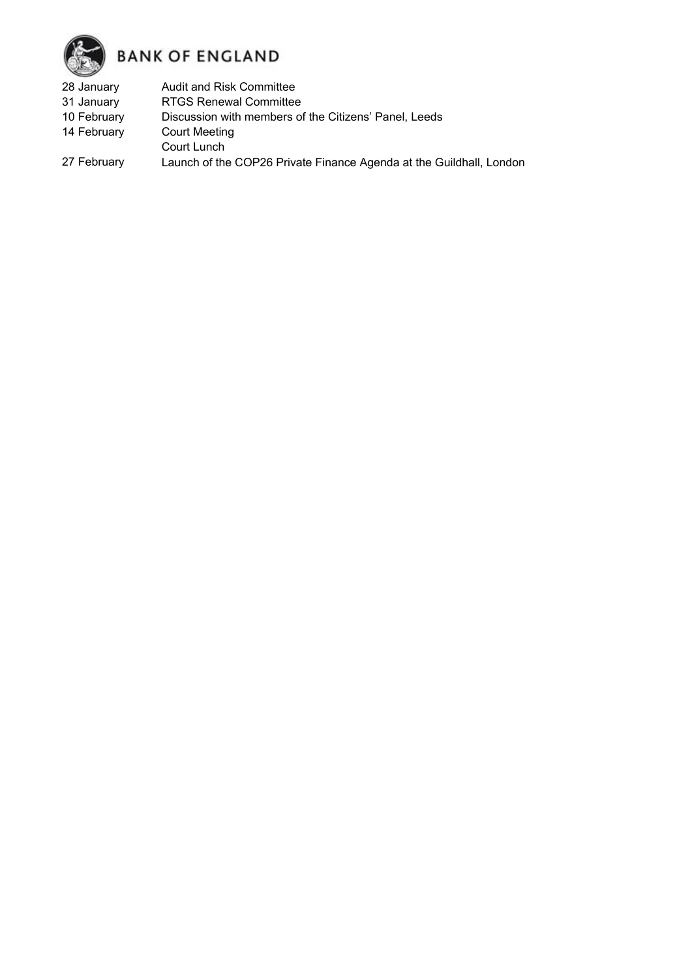

- 28 January Audit and Risk Committee
- 31 January RTGS Renewal Committee
- 10 February Discussion with members of the Citizens' Panel, Leeds
- 14 February Court Meeting
- Court Lunch
- 27 February Launch of the COP26 Private Finance Agenda at the Guildhall, London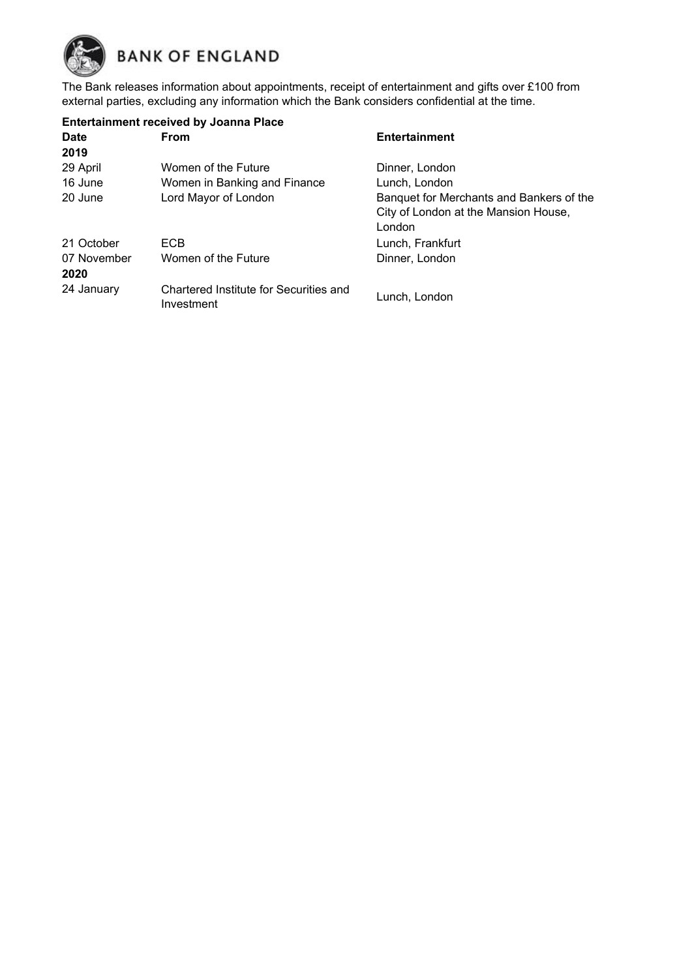

The Bank releases information about appointments, receipt of entertainment and gifts over £100 from external parties, excluding any information which the Bank considers confidential at the time.

| <b>Entertainment received by Joanna Place</b> |                                                      |                                          |  |
|-----------------------------------------------|------------------------------------------------------|------------------------------------------|--|
| <b>Date</b>                                   | <b>From</b>                                          | Entertainment                            |  |
| 2019                                          |                                                      |                                          |  |
| 29 April                                      | Women of the Future                                  | Dinner, London                           |  |
| 16 June                                       | Women in Banking and Finance                         | Lunch, London                            |  |
| 20 June                                       | Lord Mayor of London                                 | Banquet for Merchants and Bankers of the |  |
|                                               |                                                      | City of London at the Mansion House,     |  |
|                                               |                                                      | London                                   |  |
| 21 October                                    | ECB.                                                 | Lunch, Frankfurt                         |  |
| 07 November                                   | Women of the Future                                  | Dinner, London                           |  |
| 2020                                          |                                                      |                                          |  |
| 24 January                                    | Chartered Institute for Securities and<br>Investment | Lunch, London                            |  |